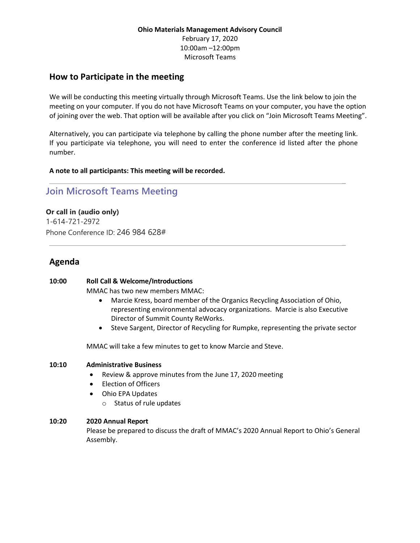### **Ohio Materials Management Advisory Council** February 17, 2020 10:00am –12:00pm Microsoft Teams

### **How to Participate in the meeting**

We will be conducting this meeting virtually through Microsoft Teams. Use the link below to join the meeting on your computer. If you do not have Microsoft Teams on your computer, you have the option of joining over the web. That option will be available after you click on "Join Microsoft Teams Meeting".

Alternatively, you can participate via telephone by calling the phone number after the meeting link. If you participate via telephone, you will need to enter the conference id listed after the phone number.

**A note to all participants: This meeting will be recorded.**

# **[Join Microsoft Teams Meeting](https://teams.microsoft.com/l/meetup-join/19%3ameeting_MDhiMmM3OTMtZjYzYS00NTkzLWE3MTQtZWE4YmEzM2FmNzBh%40thread.v2/0?context=%7b%22Tid%22%3a%2250f8fcc4-94d8-4f07-84eb-36ed57c7c8a2%22%2c%22Oid%22%3a%226b71c317-f917-42f5-baba-e867f3cbd726%22%7d)**

**Or call in (audio only)** 1-614-721-2972 Phone Conference ID: 246 984 628#

## **Agenda**

#### **10:00 Roll Call & Welcome/Introductions**

MMAC has two new members MMAC:

• Marcie Kress, board member of the Organics Recycling Association of Ohio, representing environmental advocacy organizations. Marcie is also Executive Director of Summit County ReWorks.

\_

\_

• Steve Sargent, Director of Recycling for Rumpke, representing the private sector

MMAC will take a few minutes to get to know Marcie and Steve.

#### **10:10 Administrative Business**

- Review & approve minutes from the June 17, 2020 meeting
- Election of Officers
- Ohio EPA Updates
	- o Status of rule updates

#### **10:20 2020 Annual Report**

Please be prepared to discuss the draft of MMAC's 2020 Annual Report to Ohio's General Assembly.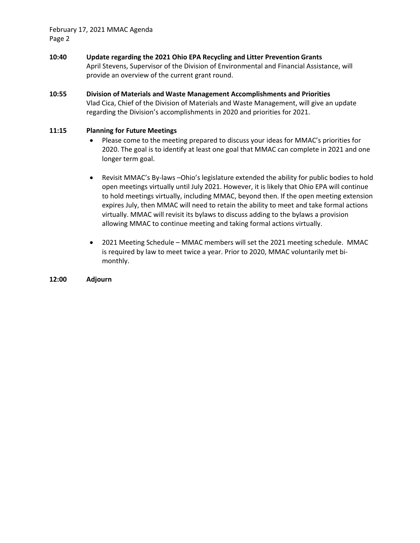February 17, 2021 MMAC Agenda Page 2

- **10:40 Update regarding the 2021 Ohio EPA Recycling and Litter Prevention Grants** April Stevens, Supervisor of the Division of Environmental and Financial Assistance, will provide an overview of the current grant round.
- **10:55 Division of Materials and Waste Management Accomplishments and Priorities** Vlad Cica, Chief of the Division of Materials and Waste Management, will give an update regarding the Division's accomplishments in 2020 and priorities for 2021.

#### **11:15 Planning for Future Meetings**

- Please come to the meeting prepared to discuss your ideas for MMAC's priorities for 2020. The goal is to identify at least one goal that MMAC can complete in 2021 and one longer term goal.
- Revisit MMAC's By-laws –Ohio's legislature extended the ability for public bodies to hold open meetings virtually until July 2021. However, it is likely that Ohio EPA will continue to hold meetings virtually, including MMAC, beyond then. If the open meeting extension expires July, then MMAC will need to retain the ability to meet and take formal actions virtually. MMAC will revisit its bylaws to discuss adding to the bylaws a provision allowing MMAC to continue meeting and taking formal actions virtually.
- 2021 Meeting Schedule MMAC members will set the 2021 meeting schedule. MMAC is required by law to meet twice a year. Prior to 2020, MMAC voluntarily met bimonthly.

#### **12:00 Adjourn**